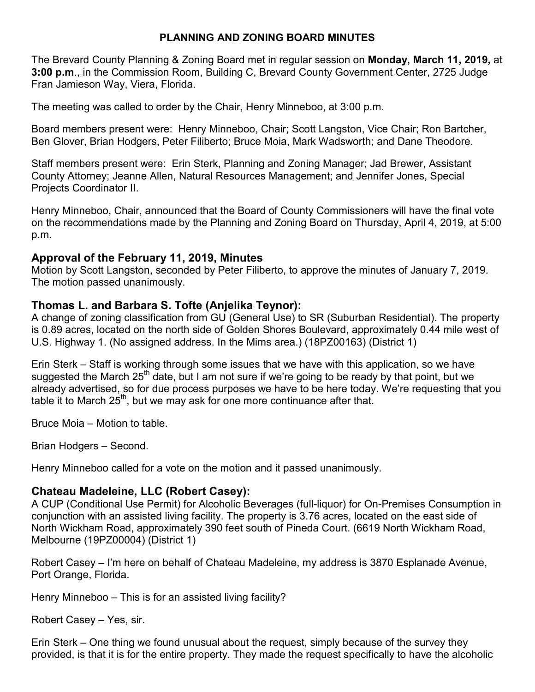## **PLANNING AND ZONING BOARD MINUTES**

The Brevard County Planning & Zoning Board met in regular session on **Monday, March 11, 2019,** at **3:00 p.m**., in the Commission Room, Building C, Brevard County Government Center, 2725 Judge Fran Jamieson Way, Viera, Florida.

The meeting was called to order by the Chair, Henry Minneboo, at 3:00 p.m.

Board members present were: Henry Minneboo, Chair; Scott Langston, Vice Chair; Ron Bartcher, Ben Glover, Brian Hodgers, Peter Filiberto; Bruce Moia, Mark Wadsworth; and Dane Theodore.

Staff members present were: Erin Sterk, Planning and Zoning Manager; Jad Brewer, Assistant County Attorney; Jeanne Allen, Natural Resources Management; and Jennifer Jones, Special Projects Coordinator II.

Henry Minneboo, Chair, announced that the Board of County Commissioners will have the final vote on the recommendations made by the Planning and Zoning Board on Thursday, April 4, 2019, at 5:00 p.m.

## **Approval of the February 11, 2019, Minutes**

Motion by Scott Langston, seconded by Peter Filiberto, to approve the minutes of January 7, 2019. The motion passed unanimously.

## **Thomas L. and Barbara S. Tofte (Anjelika Teynor):**

A change of zoning classification from GU (General Use) to SR (Suburban Residential). The property is 0.89 acres, located on the north side of Golden Shores Boulevard, approximately 0.44 mile west of U.S. Highway 1. (No assigned address. In the Mims area.) (18PZ00163) (District 1)

Erin Sterk – Staff is working through some issues that we have with this application, so we have suggested the March  $25<sup>th</sup>$  date, but I am not sure if we're going to be ready by that point, but we already advertised, so for due process purposes we have to be here today. We're requesting that you table it to March  $25<sup>th</sup>$ , but we may ask for one more continuance after that.

Bruce Moia – Motion to table.

Brian Hodgers – Second.

Henry Minneboo called for a vote on the motion and it passed unanimously.

## **Chateau Madeleine, LLC (Robert Casey):**

A CUP (Conditional Use Permit) for Alcoholic Beverages (full-liquor) for On-Premises Consumption in conjunction with an assisted living facility. The property is 3.76 acres, located on the east side of North Wickham Road, approximately 390 feet south of Pineda Court. (6619 North Wickham Road, Melbourne (19PZ00004) (District 1)

Robert Casey – I'm here on behalf of Chateau Madeleine, my address is 3870 Esplanade Avenue, Port Orange, Florida.

Henry Minneboo – This is for an assisted living facility?

Robert Casey – Yes, sir.

Erin Sterk – One thing we found unusual about the request, simply because of the survey they provided, is that it is for the entire property. They made the request specifically to have the alcoholic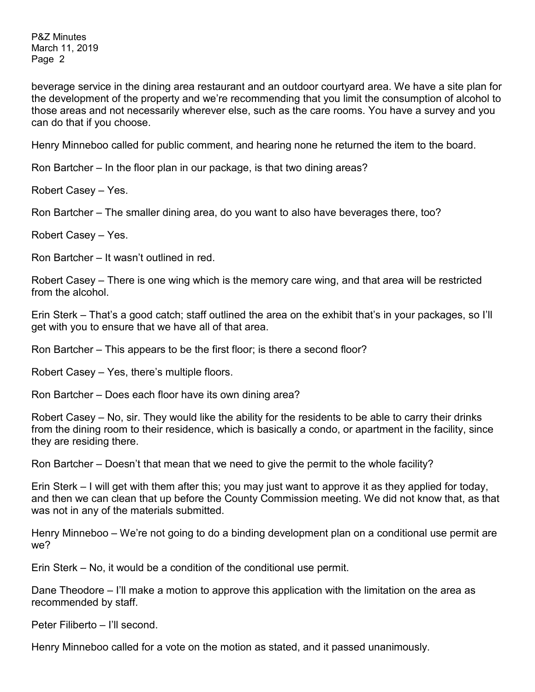beverage service in the dining area restaurant and an outdoor courtyard area. We have a site plan for the development of the property and we're recommending that you limit the consumption of alcohol to those areas and not necessarily wherever else, such as the care rooms. You have a survey and you can do that if you choose.

Henry Minneboo called for public comment, and hearing none he returned the item to the board.

Ron Bartcher – In the floor plan in our package, is that two dining areas?

Robert Casey – Yes.

Ron Bartcher – The smaller dining area, do you want to also have beverages there, too?

Robert Casey – Yes.

Ron Bartcher – It wasn't outlined in red.

Robert Casey – There is one wing which is the memory care wing, and that area will be restricted from the alcohol.

Erin Sterk – That's a good catch; staff outlined the area on the exhibit that's in your packages, so I'll get with you to ensure that we have all of that area.

Ron Bartcher – This appears to be the first floor; is there a second floor?

Robert Casey – Yes, there's multiple floors.

Ron Bartcher – Does each floor have its own dining area?

Robert Casey – No, sir. They would like the ability for the residents to be able to carry their drinks from the dining room to their residence, which is basically a condo, or apartment in the facility, since they are residing there.

Ron Bartcher – Doesn't that mean that we need to give the permit to the whole facility?

Erin Sterk – I will get with them after this; you may just want to approve it as they applied for today, and then we can clean that up before the County Commission meeting. We did not know that, as that was not in any of the materials submitted.

Henry Minneboo – We're not going to do a binding development plan on a conditional use permit are we?

Erin Sterk – No, it would be a condition of the conditional use permit.

Dane Theodore – I'll make a motion to approve this application with the limitation on the area as recommended by staff.

Peter Filiberto – I'll second.

Henry Minneboo called for a vote on the motion as stated, and it passed unanimously.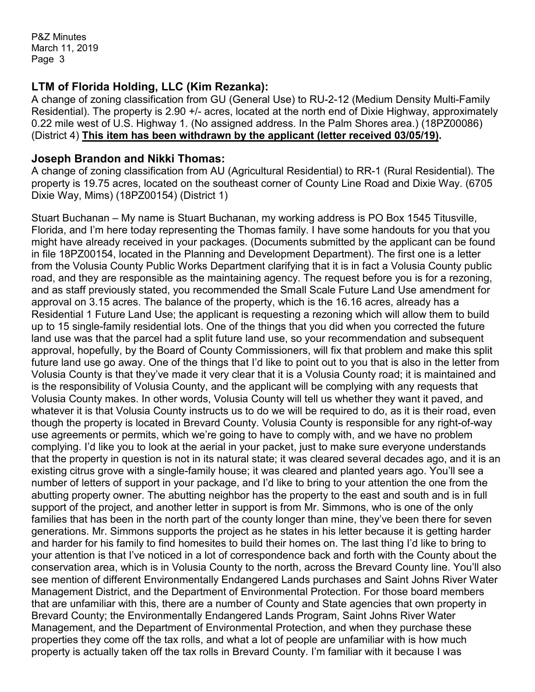# **LTM of Florida Holding, LLC (Kim Rezanka):**

A change of zoning classification from GU (General Use) to RU-2-12 (Medium Density Multi-Family Residential). The property is 2.90 +/- acres, located at the north end of Dixie Highway, approximately 0.22 mile west of U.S. Highway 1. (No assigned address. In the Palm Shores area.) (18PZ00086) (District 4) **This item has been withdrawn by the applicant (letter received 03/05/19).**

#### **Joseph Brandon and Nikki Thomas:**

A change of zoning classification from AU (Agricultural Residential) to RR-1 (Rural Residential). The property is 19.75 acres, located on the southeast corner of County Line Road and Dixie Way. (6705 Dixie Way, Mims) (18PZ00154) (District 1)

Stuart Buchanan – My name is Stuart Buchanan, my working address is PO Box 1545 Titusville, Florida, and I'm here today representing the Thomas family. I have some handouts for you that you might have already received in your packages. (Documents submitted by the applicant can be found in file 18PZ00154, located in the Planning and Development Department). The first one is a letter from the Volusia County Public Works Department clarifying that it is in fact a Volusia County public road, and they are responsible as the maintaining agency. The request before you is for a rezoning, and as staff previously stated, you recommended the Small Scale Future Land Use amendment for approval on 3.15 acres. The balance of the property, which is the 16.16 acres, already has a Residential 1 Future Land Use; the applicant is requesting a rezoning which will allow them to build up to 15 single-family residential lots. One of the things that you did when you corrected the future land use was that the parcel had a split future land use, so your recommendation and subsequent approval, hopefully, by the Board of County Commissioners, will fix that problem and make this split future land use go away. One of the things that I'd like to point out to you that is also in the letter from Volusia County is that they've made it very clear that it is a Volusia County road; it is maintained and is the responsibility of Volusia County, and the applicant will be complying with any requests that Volusia County makes. In other words, Volusia County will tell us whether they want it paved, and whatever it is that Volusia County instructs us to do we will be required to do, as it is their road, even though the property is located in Brevard County. Volusia County is responsible for any right-of-way use agreements or permits, which we're going to have to comply with, and we have no problem complying. I'd like you to look at the aerial in your packet, just to make sure everyone understands that the property in question is not in its natural state; it was cleared several decades ago, and it is an existing citrus grove with a single-family house; it was cleared and planted years ago. You'll see a number of letters of support in your package, and I'd like to bring to your attention the one from the abutting property owner. The abutting neighbor has the property to the east and south and is in full support of the project, and another letter in support is from Mr. Simmons, who is one of the only families that has been in the north part of the county longer than mine, they've been there for seven generations. Mr. Simmons supports the project as he states in his letter because it is getting harder and harder for his family to find homesites to build their homes on. The last thing I'd like to bring to your attention is that I've noticed in a lot of correspondence back and forth with the County about the conservation area, which is in Volusia County to the north, across the Brevard County line. You'll also see mention of different Environmentally Endangered Lands purchases and Saint Johns River Water Management District, and the Department of Environmental Protection. For those board members that are unfamiliar with this, there are a number of County and State agencies that own property in Brevard County; the Environmentally Endangered Lands Program, Saint Johns River Water Management, and the Department of Environmental Protection, and when they purchase these properties they come off the tax rolls, and what a lot of people are unfamiliar with is how much property is actually taken off the tax rolls in Brevard County. I'm familiar with it because I was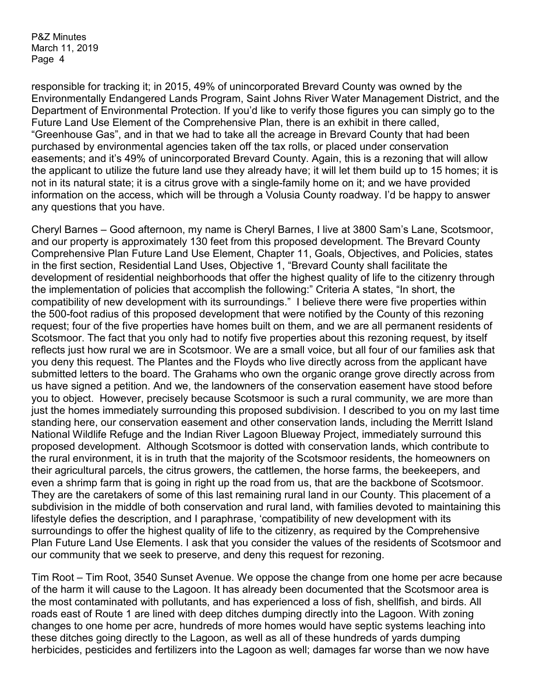responsible for tracking it; in 2015, 49% of unincorporated Brevard County was owned by the Environmentally Endangered Lands Program, Saint Johns River Water Management District, and the Department of Environmental Protection. If you'd like to verify those figures you can simply go to the Future Land Use Element of the Comprehensive Plan, there is an exhibit in there called, "Greenhouse Gas", and in that we had to take all the acreage in Brevard County that had been purchased by environmental agencies taken off the tax rolls, or placed under conservation easements; and it's 49% of unincorporated Brevard County. Again, this is a rezoning that will allow the applicant to utilize the future land use they already have; it will let them build up to 15 homes; it is not in its natural state; it is a citrus grove with a single-family home on it; and we have provided information on the access, which will be through a Volusia County roadway. I'd be happy to answer any questions that you have.

Cheryl Barnes – Good afternoon, my name is Cheryl Barnes, I live at 3800 Sam's Lane, Scotsmoor, and our property is approximately 130 feet from this proposed development. The Brevard County Comprehensive Plan Future Land Use Element, Chapter 11, Goals, Objectives, and Policies, states in the first section, Residential Land Uses, Objective 1, "Brevard County shall facilitate the development of residential neighborhoods that offer the highest quality of life to the citizenry through the implementation of policies that accomplish the following:" Criteria A states, "In short, the compatibility of new development with its surroundings." I believe there were five properties within the 500-foot radius of this proposed development that were notified by the County of this rezoning request; four of the five properties have homes built on them, and we are all permanent residents of Scotsmoor. The fact that you only had to notify five properties about this rezoning request, by itself reflects just how rural we are in Scotsmoor. We are a small voice, but all four of our families ask that you deny this request. The Plantes and the Floyds who live directly across from the applicant have submitted letters to the board. The Grahams who own the organic orange grove directly across from us have signed a petition. And we, the landowners of the conservation easement have stood before you to object. However, precisely because Scotsmoor is such a rural community, we are more than just the homes immediately surrounding this proposed subdivision. I described to you on my last time standing here, our conservation easement and other conservation lands, including the Merritt Island National Wildlife Refuge and the Indian River Lagoon Blueway Project, immediately surround this proposed development. Although Scotsmoor is dotted with conservation lands, which contribute to the rural environment, it is in truth that the majority of the Scotsmoor residents, the homeowners on their agricultural parcels, the citrus growers, the cattlemen, the horse farms, the beekeepers, and even a shrimp farm that is going in right up the road from us, that are the backbone of Scotsmoor. They are the caretakers of some of this last remaining rural land in our County. This placement of a subdivision in the middle of both conservation and rural land, with families devoted to maintaining this lifestyle defies the description, and I paraphrase, 'compatibility of new development with its surroundings to offer the highest quality of life to the citizenry, as required by the Comprehensive Plan Future Land Use Elements. I ask that you consider the values of the residents of Scotsmoor and our community that we seek to preserve, and deny this request for rezoning.

Tim Root – Tim Root, 3540 Sunset Avenue. We oppose the change from one home per acre because of the harm it will cause to the Lagoon. It has already been documented that the Scotsmoor area is the most contaminated with pollutants, and has experienced a loss of fish, shellfish, and birds. All roads east of Route 1 are lined with deep ditches dumping directly into the Lagoon. With zoning changes to one home per acre, hundreds of more homes would have septic systems leaching into these ditches going directly to the Lagoon, as well as all of these hundreds of yards dumping herbicides, pesticides and fertilizers into the Lagoon as well; damages far worse than we now have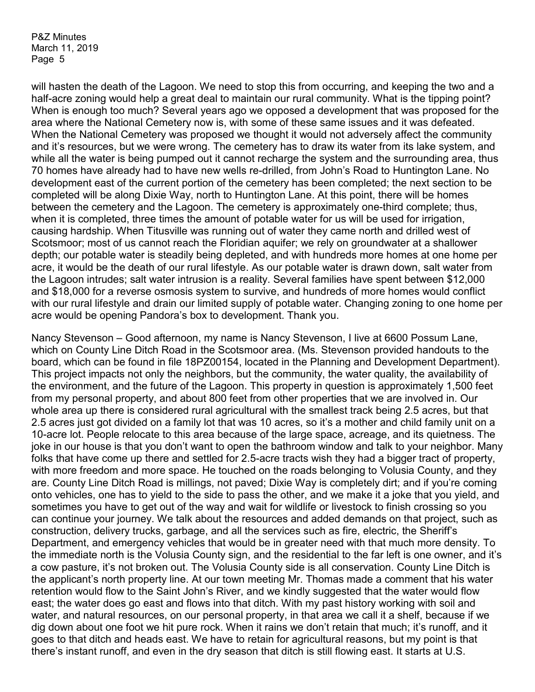will hasten the death of the Lagoon. We need to stop this from occurring, and keeping the two and a half-acre zoning would help a great deal to maintain our rural community. What is the tipping point? When is enough too much? Several years ago we opposed a development that was proposed for the area where the National Cemetery now is, with some of these same issues and it was defeated. When the National Cemetery was proposed we thought it would not adversely affect the community and it's resources, but we were wrong. The cemetery has to draw its water from its lake system, and while all the water is being pumped out it cannot recharge the system and the surrounding area, thus 70 homes have already had to have new wells re-drilled, from John's Road to Huntington Lane. No development east of the current portion of the cemetery has been completed; the next section to be completed will be along Dixie Way, north to Huntington Lane. At this point, there will be homes between the cemetery and the Lagoon. The cemetery is approximately one-third complete; thus, when it is completed, three times the amount of potable water for us will be used for irrigation, causing hardship. When Titusville was running out of water they came north and drilled west of Scotsmoor; most of us cannot reach the Floridian aquifer; we rely on groundwater at a shallower depth; our potable water is steadily being depleted, and with hundreds more homes at one home per acre, it would be the death of our rural lifestyle. As our potable water is drawn down, salt water from the Lagoon intrudes; salt water intrusion is a reality. Several families have spent between \$12,000 and \$18,000 for a reverse osmosis system to survive, and hundreds of more homes would conflict with our rural lifestyle and drain our limited supply of potable water. Changing zoning to one home per acre would be opening Pandora's box to development. Thank you.

Nancy Stevenson – Good afternoon, my name is Nancy Stevenson, I live at 6600 Possum Lane, which on County Line Ditch Road in the Scotsmoor area. (Ms. Stevenson provided handouts to the board, which can be found in file 18PZ00154, located in the Planning and Development Department). This project impacts not only the neighbors, but the community, the water quality, the availability of the environment, and the future of the Lagoon. This property in question is approximately 1,500 feet from my personal property, and about 800 feet from other properties that we are involved in. Our whole area up there is considered rural agricultural with the smallest track being 2.5 acres, but that 2.5 acres just got divided on a family lot that was 10 acres, so it's a mother and child family unit on a 10-acre lot. People relocate to this area because of the large space, acreage, and its quietness. The joke in our house is that you don't want to open the bathroom window and talk to your neighbor. Many folks that have come up there and settled for 2.5-acre tracts wish they had a bigger tract of property, with more freedom and more space. He touched on the roads belonging to Volusia County, and they are. County Line Ditch Road is millings, not paved; Dixie Way is completely dirt; and if you're coming onto vehicles, one has to yield to the side to pass the other, and we make it a joke that you yield, and sometimes you have to get out of the way and wait for wildlife or livestock to finish crossing so you can continue your journey. We talk about the resources and added demands on that project, such as construction, delivery trucks, garbage, and all the services such as fire, electric, the Sheriff's Department, and emergency vehicles that would be in greater need with that much more density. To the immediate north is the Volusia County sign, and the residential to the far left is one owner, and it's a cow pasture, it's not broken out. The Volusia County side is all conservation. County Line Ditch is the applicant's north property line. At our town meeting Mr. Thomas made a comment that his water retention would flow to the Saint John's River, and we kindly suggested that the water would flow east; the water does go east and flows into that ditch. With my past history working with soil and water, and natural resources, on our personal property, in that area we call it a shelf, because if we dig down about one foot we hit pure rock. When it rains we don't retain that much; it's runoff, and it goes to that ditch and heads east. We have to retain for agricultural reasons, but my point is that there's instant runoff, and even in the dry season that ditch is still flowing east. It starts at U.S.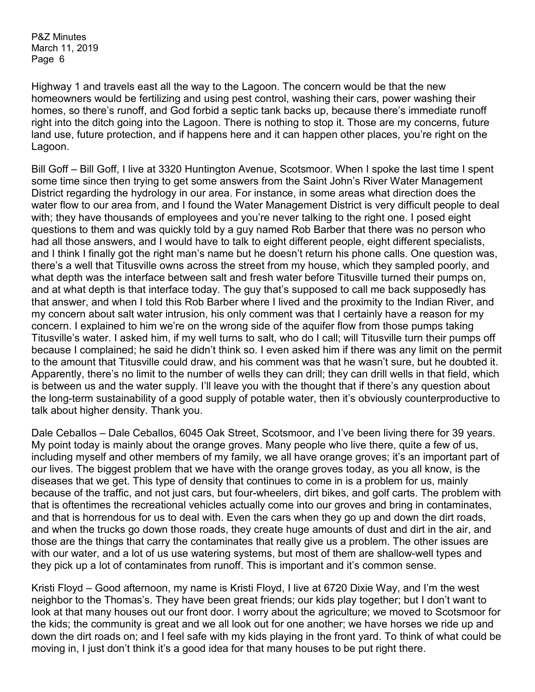Highway 1 and travels east all the way to the Lagoon. The concern would be that the new homeowners would be fertilizing and using pest control, washing their cars, power washing their homes, so there's runoff, and God forbid a septic tank backs up, because there's immediate runoff right into the ditch going into the Lagoon. There is nothing to stop it. Those are my concerns, future land use, future protection, and if happens here and it can happen other places, you're right on the Lagoon.

Bill Goff – Bill Goff, I live at 3320 Huntington Avenue, Scotsmoor. When I spoke the last time I spent some time since then trying to get some answers from the Saint John's River Water Management District regarding the hydrology in our area. For instance, in some areas what direction does the water flow to our area from, and I found the Water Management District is very difficult people to deal with; they have thousands of employees and you're never talking to the right one. I posed eight questions to them and was quickly told by a guy named Rob Barber that there was no person who had all those answers, and I would have to talk to eight different people, eight different specialists, and I think I finally got the right man's name but he doesn't return his phone calls. One question was, there's a well that Titusville owns across the street from my house, which they sampled poorly, and what depth was the interface between salt and fresh water before Titusville turned their pumps on, and at what depth is that interface today. The guy that's supposed to call me back supposedly has that answer, and when I told this Rob Barber where I lived and the proximity to the Indian River, and my concern about salt water intrusion, his only comment was that I certainly have a reason for my concern. I explained to him we're on the wrong side of the aquifer flow from those pumps taking Titusville's water. I asked him, if my well turns to salt, who do I call; will Titusville turn their pumps off because I complained; he said he didn't think so. I even asked him if there was any limit on the permit to the amount that Titusville could draw, and his comment was that he wasn't sure, but he doubted it. Apparently, there's no limit to the number of wells they can drill; they can drill wells in that field, which is between us and the water supply. I'll leave you with the thought that if there's any question about the long-term sustainability of a good supply of potable water, then it's obviously counterproductive to talk about higher density. Thank you.

Dale Ceballos – Dale Ceballos, 6045 Oak Street, Scotsmoor, and I've been living there for 39 years. My point today is mainly about the orange groves. Many people who live there, quite a few of us, including myself and other members of my family, we all have orange groves; it's an important part of our lives. The biggest problem that we have with the orange groves today, as you all know, is the diseases that we get. This type of density that continues to come in is a problem for us, mainly because of the traffic, and not just cars, but four-wheelers, dirt bikes, and golf carts. The problem with that is oftentimes the recreational vehicles actually come into our groves and bring in contaminates, and that is horrendous for us to deal with. Even the cars when they go up and down the dirt roads, and when the trucks go down those roads, they create huge amounts of dust and dirt in the air, and those are the things that carry the contaminates that really give us a problem. The other issues are with our water, and a lot of us use watering systems, but most of them are shallow-well types and they pick up a lot of contaminates from runoff. This is important and it's common sense.

Kristi Floyd – Good afternoon, my name is Kristi Floyd, I live at 6720 Dixie Way, and I'm the west neighbor to the Thomas's. They have been great friends; our kids play together; but I don't want to look at that many houses out our front door. I worry about the agriculture; we moved to Scotsmoor for the kids; the community is great and we all look out for one another; we have horses we ride up and down the dirt roads on; and I feel safe with my kids playing in the front yard. To think of what could be moving in, I just don't think it's a good idea for that many houses to be put right there.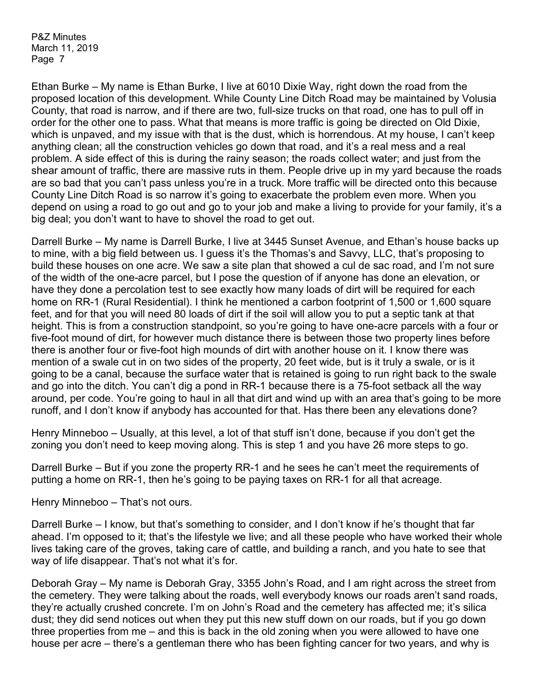Ethan Burke – My name is Ethan Burke, I live at 6010 Dixie Way, right down the road from the proposed location of this development. While County Line Ditch Road may be maintained by Volusia County, that road is narrow, and if there are two, full-size trucks on that road, one has to pull off in order for the other one to pass. What that means is more traffic is going be directed on Old Dixie, which is unpaved, and my issue with that is the dust, which is horrendous. At my house, I can't keep anything clean; all the construction vehicles go down that road, and it's a real mess and a real problem. A side effect of this is during the rainy season; the roads collect water; and just from the shear amount of traffic, there are massive ruts in them. People drive up in my yard because the roads are so bad that you can't pass unless you're in a truck. More traffic will be directed onto this because County Line Ditch Road is so narrow it's going to exacerbate the problem even more. When you depend on using a road to go out and go to your job and make a living to provide for your family, it's a big deal; you don't want to have to shovel the road to get out.

Darrell Burke – My name is Darrell Burke, I live at 3445 Sunset Avenue, and Ethan's house backs up to mine, with a big field between us. I guess it's the Thomas's and Savvy, LLC, that's proposing to build these houses on one acre. We saw a site plan that showed a cul de sac road, and I'm not sure of the width of the one-acre parcel, but I pose the question of if anyone has done an elevation, or have they done a percolation test to see exactly how many loads of dirt will be required for each home on RR-1 (Rural Residential). I think he mentioned a carbon footprint of 1,500 or 1,600 square feet, and for that you will need 80 loads of dirt if the soil will allow you to put a septic tank at that height. This is from a construction standpoint, so you're going to have one-acre parcels with a four or five-foot mound of dirt, for however much distance there is between those two property lines before there is another four or five-foot high mounds of dirt with another house on it. I know there was mention of a swale cut in on two sides of the property, 20 feet wide, but is it truly a swale, or is it going to be a canal, because the surface water that is retained is going to run right back to the swale and go into the ditch. You can't dig a pond in RR-1 because there is a 75-foot setback all the way around, per code. You're going to haul in all that dirt and wind up with an area that's going to be more runoff, and I don't know if anybody has accounted for that. Has there been any elevations done?

Henry Minneboo – Usually, at this level, a lot of that stuff isn't done, because if you don't get the zoning you don't need to keep moving along. This is step 1 and you have 26 more steps to go.

Darrell Burke – But if you zone the property RR-1 and he sees he can't meet the requirements of putting a home on RR-1, then he's going to be paying taxes on RR-1 for all that acreage.

Henry Minneboo – That's not ours.

Darrell Burke – I know, but that's something to consider, and I don't know if he's thought that far ahead. I'm opposed to it; that's the lifestyle we live; and all these people who have worked their whole lives taking care of the groves, taking care of cattle, and building a ranch, and you hate to see that way of life disappear. That's not what it's for.

Deborah Gray – My name is Deborah Gray, 3355 John's Road, and I am right across the street from the cemetery. They were talking about the roads, well everybody knows our roads aren't sand roads, they're actually crushed concrete. I'm on John's Road and the cemetery has affected me; it's silica dust; they did send notices out when they put this new stuff down on our roads, but if you go down three properties from me – and this is back in the old zoning when you were allowed to have one house per acre – there's a gentleman there who has been fighting cancer for two years, and why is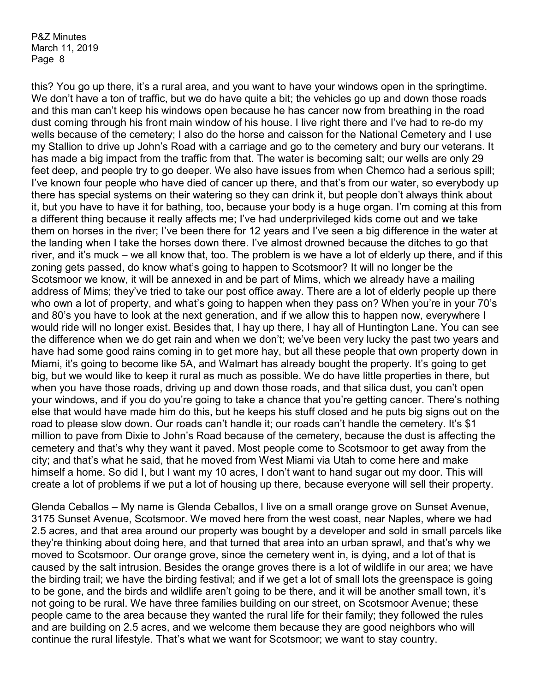this? You go up there, it's a rural area, and you want to have your windows open in the springtime. We don't have a ton of traffic, but we do have quite a bit; the vehicles go up and down those roads and this man can't keep his windows open because he has cancer now from breathing in the road dust coming through his front main window of his house. I live right there and I've had to re-do my wells because of the cemetery; I also do the horse and caisson for the National Cemetery and I use my Stallion to drive up John's Road with a carriage and go to the cemetery and bury our veterans. It has made a big impact from the traffic from that. The water is becoming salt; our wells are only 29 feet deep, and people try to go deeper. We also have issues from when Chemco had a serious spill; I've known four people who have died of cancer up there, and that's from our water, so everybody up there has special systems on their watering so they can drink it, but people don't always think about it, but you have to have it for bathing, too, because your body is a huge organ. I'm coming at this from a different thing because it really affects me; I've had underprivileged kids come out and we take them on horses in the river; I've been there for 12 years and I've seen a big difference in the water at the landing when I take the horses down there. I've almost drowned because the ditches to go that river, and it's muck – we all know that, too. The problem is we have a lot of elderly up there, and if this zoning gets passed, do know what's going to happen to Scotsmoor? It will no longer be the Scotsmoor we know, it will be annexed in and be part of Mims, which we already have a mailing address of Mims; they've tried to take our post office away. There are a lot of elderly people up there who own a lot of property, and what's going to happen when they pass on? When you're in your 70's and 80's you have to look at the next generation, and if we allow this to happen now, everywhere I would ride will no longer exist. Besides that, I hay up there, I hay all of Huntington Lane. You can see the difference when we do get rain and when we don't; we've been very lucky the past two years and have had some good rains coming in to get more hay, but all these people that own property down in Miami, it's going to become like 5A, and Walmart has already bought the property. It's going to get big, but we would like to keep it rural as much as possible. We do have little properties in there, but when you have those roads, driving up and down those roads, and that silica dust, you can't open your windows, and if you do you're going to take a chance that you're getting cancer. There's nothing else that would have made him do this, but he keeps his stuff closed and he puts big signs out on the road to please slow down. Our roads can't handle it; our roads can't handle the cemetery. It's \$1 million to pave from Dixie to John's Road because of the cemetery, because the dust is affecting the cemetery and that's why they want it paved. Most people come to Scotsmoor to get away from the city; and that's what he said, that he moved from West Miami via Utah to come here and make himself a home. So did I, but I want my 10 acres, I don't want to hand sugar out my door. This will create a lot of problems if we put a lot of housing up there, because everyone will sell their property.

Glenda Ceballos – My name is Glenda Ceballos, I live on a small orange grove on Sunset Avenue, 3175 Sunset Avenue, Scotsmoor. We moved here from the west coast, near Naples, where we had 2.5 acres, and that area around our property was bought by a developer and sold in small parcels like they're thinking about doing here, and that turned that area into an urban sprawl, and that's why we moved to Scotsmoor. Our orange grove, since the cemetery went in, is dying, and a lot of that is caused by the salt intrusion. Besides the orange groves there is a lot of wildlife in our area; we have the birding trail; we have the birding festival; and if we get a lot of small lots the greenspace is going to be gone, and the birds and wildlife aren't going to be there, and it will be another small town, it's not going to be rural. We have three families building on our street, on Scotsmoor Avenue; these people came to the area because they wanted the rural life for their family; they followed the rules and are building on 2.5 acres, and we welcome them because they are good neighbors who will continue the rural lifestyle. That's what we want for Scotsmoor; we want to stay country.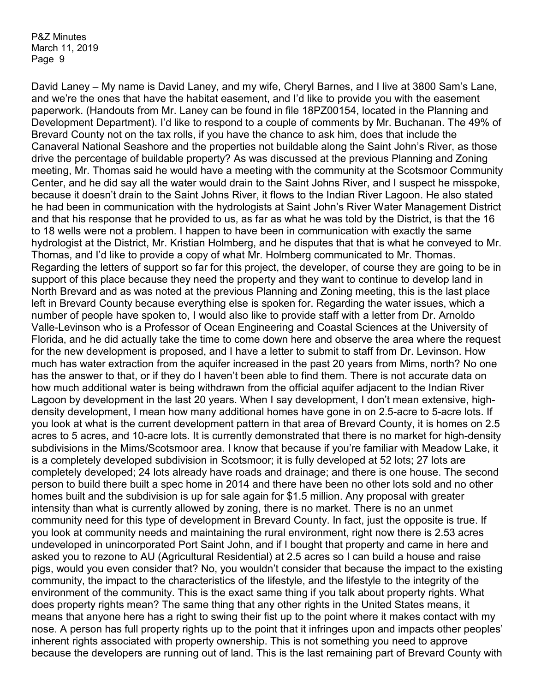David Laney – My name is David Laney, and my wife, Cheryl Barnes, and I live at 3800 Sam's Lane, and we're the ones that have the habitat easement, and I'd like to provide you with the easement paperwork. (Handouts from Mr. Laney can be found in file 18PZ00154, located in the Planning and Development Department). I'd like to respond to a couple of comments by Mr. Buchanan. The 49% of Brevard County not on the tax rolls, if you have the chance to ask him, does that include the Canaveral National Seashore and the properties not buildable along the Saint John's River, as those drive the percentage of buildable property? As was discussed at the previous Planning and Zoning meeting, Mr. Thomas said he would have a meeting with the community at the Scotsmoor Community Center, and he did say all the water would drain to the Saint Johns River, and I suspect he misspoke, because it doesn't drain to the Saint Johns River, it flows to the Indian River Lagoon. He also stated he had been in communication with the hydrologists at Saint John's River Water Management District and that his response that he provided to us, as far as what he was told by the District, is that the 16 to 18 wells were not a problem. I happen to have been in communication with exactly the same hydrologist at the District, Mr. Kristian Holmberg, and he disputes that that is what he conveyed to Mr. Thomas, and I'd like to provide a copy of what Mr. Holmberg communicated to Mr. Thomas. Regarding the letters of support so far for this project, the developer, of course they are going to be in support of this place because they need the property and they want to continue to develop land in North Brevard and as was noted at the previous Planning and Zoning meeting, this is the last place left in Brevard County because everything else is spoken for. Regarding the water issues, which a number of people have spoken to, I would also like to provide staff with a letter from Dr. Arnoldo Valle-Levinson who is a Professor of Ocean Engineering and Coastal Sciences at the University of Florida, and he did actually take the time to come down here and observe the area where the request for the new development is proposed, and I have a letter to submit to staff from Dr. Levinson. How much has water extraction from the aquifer increased in the past 20 years from Mims, north? No one has the answer to that, or if they do I haven't been able to find them. There is not accurate data on how much additional water is being withdrawn from the official aquifer adjacent to the Indian River Lagoon by development in the last 20 years. When I say development, I don't mean extensive, highdensity development, I mean how many additional homes have gone in on 2.5-acre to 5-acre lots. If you look at what is the current development pattern in that area of Brevard County, it is homes on 2.5 acres to 5 acres, and 10-acre lots. It is currently demonstrated that there is no market for high-density subdivisions in the Mims/Scotsmoor area. I know that because if you're familiar with Meadow Lake, it is a completely developed subdivision in Scotsmoor; it is fully developed at 52 lots; 27 lots are completely developed; 24 lots already have roads and drainage; and there is one house. The second person to build there built a spec home in 2014 and there have been no other lots sold and no other homes built and the subdivision is up for sale again for \$1.5 million. Any proposal with greater intensity than what is currently allowed by zoning, there is no market. There is no an unmet community need for this type of development in Brevard County. In fact, just the opposite is true. If you look at community needs and maintaining the rural environment, right now there is 2.53 acres undeveloped in unincorporated Port Saint John, and if I bought that property and came in here and asked you to rezone to AU (Agricultural Residential) at 2.5 acres so I can build a house and raise pigs, would you even consider that? No, you wouldn't consider that because the impact to the existing community, the impact to the characteristics of the lifestyle, and the lifestyle to the integrity of the environment of the community. This is the exact same thing if you talk about property rights. What does property rights mean? The same thing that any other rights in the United States means, it means that anyone here has a right to swing their fist up to the point where it makes contact with my nose. A person has full property rights up to the point that it infringes upon and impacts other peoples' inherent rights associated with property ownership. This is not something you need to approve because the developers are running out of land. This is the last remaining part of Brevard County with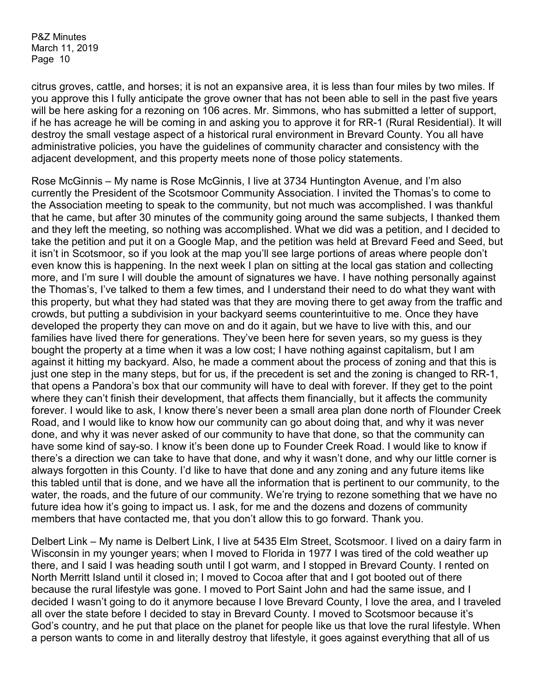citrus groves, cattle, and horses; it is not an expansive area, it is less than four miles by two miles. If you approve this I fully anticipate the grove owner that has not been able to sell in the past five years will be here asking for a rezoning on 106 acres. Mr. Simmons, who has submitted a letter of support, if he has acreage he will be coming in and asking you to approve it for RR-1 (Rural Residential). It will destroy the small vestage aspect of a historical rural environment in Brevard County. You all have administrative policies, you have the guidelines of community character and consistency with the adjacent development, and this property meets none of those policy statements.

Rose McGinnis – My name is Rose McGinnis, I live at 3734 Huntington Avenue, and I'm also currently the President of the Scotsmoor Community Association. I invited the Thomas's to come to the Association meeting to speak to the community, but not much was accomplished. I was thankful that he came, but after 30 minutes of the community going around the same subjects, I thanked them and they left the meeting, so nothing was accomplished. What we did was a petition, and I decided to take the petition and put it on a Google Map, and the petition was held at Brevard Feed and Seed, but it isn't in Scotsmoor, so if you look at the map you'll see large portions of areas where people don't even know this is happening. In the next week I plan on sitting at the local gas station and collecting more, and I'm sure I will double the amount of signatures we have. I have nothing personally against the Thomas's, I've talked to them a few times, and I understand their need to do what they want with this property, but what they had stated was that they are moving there to get away from the traffic and crowds, but putting a subdivision in your backyard seems counterintuitive to me. Once they have developed the property they can move on and do it again, but we have to live with this, and our families have lived there for generations. They've been here for seven years, so my guess is they bought the property at a time when it was a low cost; I have nothing against capitalism, but I am against it hitting my backyard. Also, he made a comment about the process of zoning and that this is just one step in the many steps, but for us, if the precedent is set and the zoning is changed to RR-1, that opens a Pandora's box that our community will have to deal with forever. If they get to the point where they can't finish their development, that affects them financially, but it affects the community forever. I would like to ask, I know there's never been a small area plan done north of Flounder Creek Road, and I would like to know how our community can go about doing that, and why it was never done, and why it was never asked of our community to have that done, so that the community can have some kind of say-so. I know it's been done up to Founder Creek Road. I would like to know if there's a direction we can take to have that done, and why it wasn't done, and why our little corner is always forgotten in this County. I'd like to have that done and any zoning and any future items like this tabled until that is done, and we have all the information that is pertinent to our community, to the water, the roads, and the future of our community. We're trying to rezone something that we have no future idea how it's going to impact us. I ask, for me and the dozens and dozens of community members that have contacted me, that you don't allow this to go forward. Thank you.

Delbert Link – My name is Delbert Link, I live at 5435 Elm Street, Scotsmoor. I lived on a dairy farm in Wisconsin in my younger years; when I moved to Florida in 1977 I was tired of the cold weather up there, and I said I was heading south until I got warm, and I stopped in Brevard County. I rented on North Merritt Island until it closed in; I moved to Cocoa after that and I got booted out of there because the rural lifestyle was gone. I moved to Port Saint John and had the same issue, and I decided I wasn't going to do it anymore because I love Brevard County, I love the area, and I traveled all over the state before I decided to stay in Brevard County. I moved to Scotsmoor because it's God's country, and he put that place on the planet for people like us that love the rural lifestyle. When a person wants to come in and literally destroy that lifestyle, it goes against everything that all of us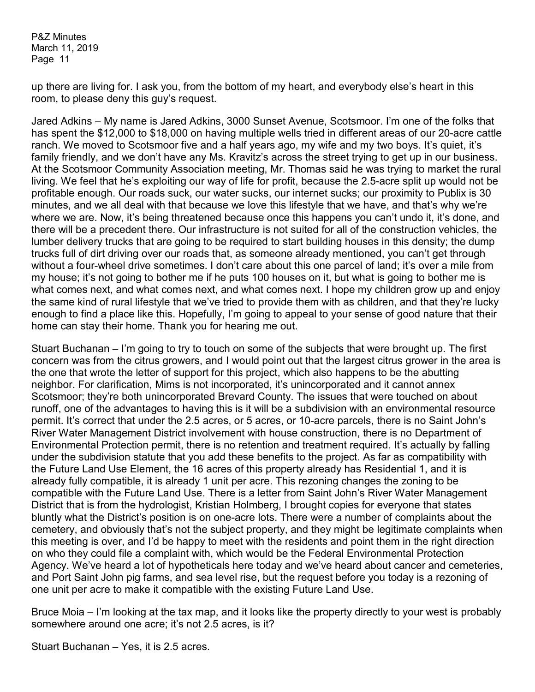up there are living for. I ask you, from the bottom of my heart, and everybody else's heart in this room, to please deny this guy's request.

Jared Adkins – My name is Jared Adkins, 3000 Sunset Avenue, Scotsmoor. I'm one of the folks that has spent the \$12,000 to \$18,000 on having multiple wells tried in different areas of our 20-acre cattle ranch. We moved to Scotsmoor five and a half years ago, my wife and my two boys. It's quiet, it's family friendly, and we don't have any Ms. Kravitz's across the street trying to get up in our business. At the Scotsmoor Community Association meeting, Mr. Thomas said he was trying to market the rural living. We feel that he's exploiting our way of life for profit, because the 2.5-acre split up would not be profitable enough. Our roads suck, our water sucks, our internet sucks; our proximity to Publix is 30 minutes, and we all deal with that because we love this lifestyle that we have, and that's why we're where we are. Now, it's being threatened because once this happens you can't undo it, it's done, and there will be a precedent there. Our infrastructure is not suited for all of the construction vehicles, the lumber delivery trucks that are going to be required to start building houses in this density; the dump trucks full of dirt driving over our roads that, as someone already mentioned, you can't get through without a four-wheel drive sometimes. I don't care about this one parcel of land; it's over a mile from my house; it's not going to bother me if he puts 100 houses on it, but what is going to bother me is what comes next, and what comes next, and what comes next. I hope my children grow up and enjoy the same kind of rural lifestyle that we've tried to provide them with as children, and that they're lucky enough to find a place like this. Hopefully, I'm going to appeal to your sense of good nature that their home can stay their home. Thank you for hearing me out.

Stuart Buchanan – I'm going to try to touch on some of the subjects that were brought up. The first concern was from the citrus growers, and I would point out that the largest citrus grower in the area is the one that wrote the letter of support for this project, which also happens to be the abutting neighbor. For clarification, Mims is not incorporated, it's unincorporated and it cannot annex Scotsmoor; they're both unincorporated Brevard County. The issues that were touched on about runoff, one of the advantages to having this is it will be a subdivision with an environmental resource permit. It's correct that under the 2.5 acres, or 5 acres, or 10-acre parcels, there is no Saint John's River Water Management District involvement with house construction, there is no Department of Environmental Protection permit, there is no retention and treatment required. It's actually by falling under the subdivision statute that you add these benefits to the project. As far as compatibility with the Future Land Use Element, the 16 acres of this property already has Residential 1, and it is already fully compatible, it is already 1 unit per acre. This rezoning changes the zoning to be compatible with the Future Land Use. There is a letter from Saint John's River Water Management District that is from the hydrologist, Kristian Holmberg, I brought copies for everyone that states bluntly what the District's position is on one-acre lots. There were a number of complaints about the cemetery, and obviously that's not the subject property, and they might be legitimate complaints when this meeting is over, and I'd be happy to meet with the residents and point them in the right direction on who they could file a complaint with, which would be the Federal Environmental Protection Agency. We've heard a lot of hypotheticals here today and we've heard about cancer and cemeteries, and Port Saint John pig farms, and sea level rise, but the request before you today is a rezoning of one unit per acre to make it compatible with the existing Future Land Use.

Bruce Moia – I'm looking at the tax map, and it looks like the property directly to your west is probably somewhere around one acre; it's not 2.5 acres, is it?

Stuart Buchanan – Yes, it is 2.5 acres.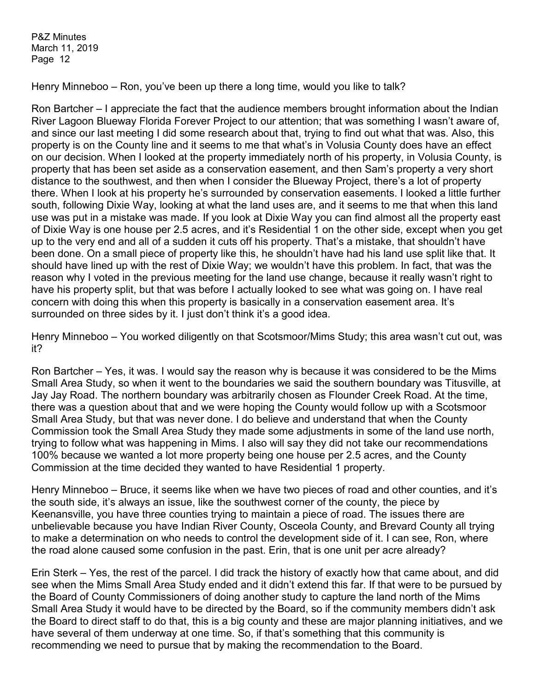Henry Minneboo – Ron, you've been up there a long time, would you like to talk?

Ron Bartcher – I appreciate the fact that the audience members brought information about the Indian River Lagoon Blueway Florida Forever Project to our attention; that was something I wasn't aware of, and since our last meeting I did some research about that, trying to find out what that was. Also, this property is on the County line and it seems to me that what's in Volusia County does have an effect on our decision. When I looked at the property immediately north of his property, in Volusia County, is property that has been set aside as a conservation easement, and then Sam's property a very short distance to the southwest, and then when I consider the Blueway Project, there's a lot of property there. When I look at his property he's surrounded by conservation easements. I looked a little further south, following Dixie Way, looking at what the land uses are, and it seems to me that when this land use was put in a mistake was made. If you look at Dixie Way you can find almost all the property east of Dixie Way is one house per 2.5 acres, and it's Residential 1 on the other side, except when you get up to the very end and all of a sudden it cuts off his property. That's a mistake, that shouldn't have been done. On a small piece of property like this, he shouldn't have had his land use split like that. It should have lined up with the rest of Dixie Way; we wouldn't have this problem. In fact, that was the reason why I voted in the previous meeting for the land use change, because it really wasn't right to have his property split, but that was before I actually looked to see what was going on. I have real concern with doing this when this property is basically in a conservation easement area. It's surrounded on three sides by it. I just don't think it's a good idea.

Henry Minneboo – You worked diligently on that Scotsmoor/Mims Study; this area wasn't cut out, was it?

Ron Bartcher – Yes, it was. I would say the reason why is because it was considered to be the Mims Small Area Study, so when it went to the boundaries we said the southern boundary was Titusville, at Jay Jay Road. The northern boundary was arbitrarily chosen as Flounder Creek Road. At the time, there was a question about that and we were hoping the County would follow up with a Scotsmoor Small Area Study, but that was never done. I do believe and understand that when the County Commission took the Small Area Study they made some adjustments in some of the land use north, trying to follow what was happening in Mims. I also will say they did not take our recommendations 100% because we wanted a lot more property being one house per 2.5 acres, and the County Commission at the time decided they wanted to have Residential 1 property.

Henry Minneboo – Bruce, it seems like when we have two pieces of road and other counties, and it's the south side, it's always an issue, like the southwest corner of the county, the piece by Keenansville, you have three counties trying to maintain a piece of road. The issues there are unbelievable because you have Indian River County, Osceola County, and Brevard County all trying to make a determination on who needs to control the development side of it. I can see, Ron, where the road alone caused some confusion in the past. Erin, that is one unit per acre already?

Erin Sterk – Yes, the rest of the parcel. I did track the history of exactly how that came about, and did see when the Mims Small Area Study ended and it didn't extend this far. If that were to be pursued by the Board of County Commissioners of doing another study to capture the land north of the Mims Small Area Study it would have to be directed by the Board, so if the community members didn't ask the Board to direct staff to do that, this is a big county and these are major planning initiatives, and we have several of them underway at one time. So, if that's something that this community is recommending we need to pursue that by making the recommendation to the Board.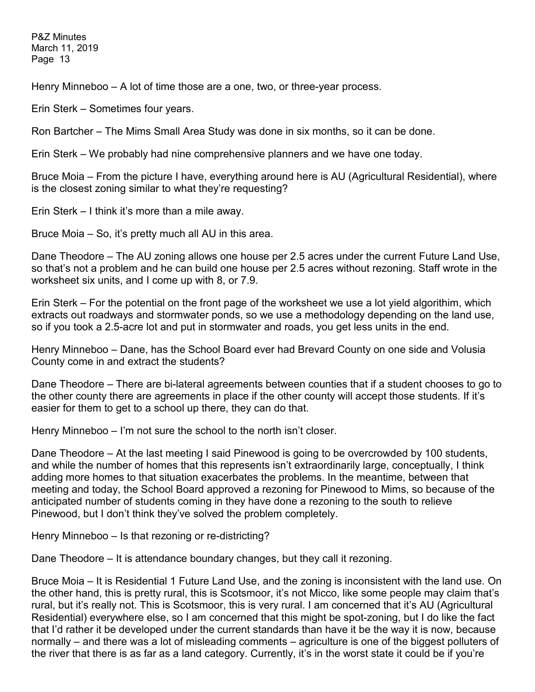Henry Minneboo – A lot of time those are a one, two, or three-year process.

Erin Sterk – Sometimes four years.

Ron Bartcher – The Mims Small Area Study was done in six months, so it can be done.

Erin Sterk – We probably had nine comprehensive planners and we have one today.

Bruce Moia – From the picture I have, everything around here is AU (Agricultural Residential), where is the closest zoning similar to what they're requesting?

Erin Sterk – I think it's more than a mile away.

Bruce Moia – So, it's pretty much all AU in this area.

Dane Theodore – The AU zoning allows one house per 2.5 acres under the current Future Land Use, so that's not a problem and he can build one house per 2.5 acres without rezoning. Staff wrote in the worksheet six units, and I come up with 8, or 7.9.

Erin Sterk – For the potential on the front page of the worksheet we use a lot yield algorithim, which extracts out roadways and stormwater ponds, so we use a methodology depending on the land use, so if you took a 2.5-acre lot and put in stormwater and roads, you get less units in the end.

Henry Minneboo – Dane, has the School Board ever had Brevard County on one side and Volusia County come in and extract the students?

Dane Theodore – There are bi-lateral agreements between counties that if a student chooses to go to the other county there are agreements in place if the other county will accept those students. If it's easier for them to get to a school up there, they can do that.

Henry Minneboo – I'm not sure the school to the north isn't closer.

Dane Theodore – At the last meeting I said Pinewood is going to be overcrowded by 100 students, and while the number of homes that this represents isn't extraordinarily large, conceptually, I think adding more homes to that situation exacerbates the problems. In the meantime, between that meeting and today, the School Board approved a rezoning for Pinewood to Mims, so because of the anticipated number of students coming in they have done a rezoning to the south to relieve Pinewood, but I don't think they've solved the problem completely.

Henry Minneboo – Is that rezoning or re-districting?

Dane Theodore – It is attendance boundary changes, but they call it rezoning.

Bruce Moia – It is Residential 1 Future Land Use, and the zoning is inconsistent with the land use. On the other hand, this is pretty rural, this is Scotsmoor, it's not Micco, like some people may claim that's rural, but it's really not. This is Scotsmoor, this is very rural. I am concerned that it's AU (Agricultural Residential) everywhere else, so I am concerned that this might be spot-zoning, but I do like the fact that I'd rather it be developed under the current standards than have it be the way it is now, because normally – and there was a lot of misleading comments – agriculture is one of the biggest polluters of the river that there is as far as a land category. Currently, it's in the worst state it could be if you're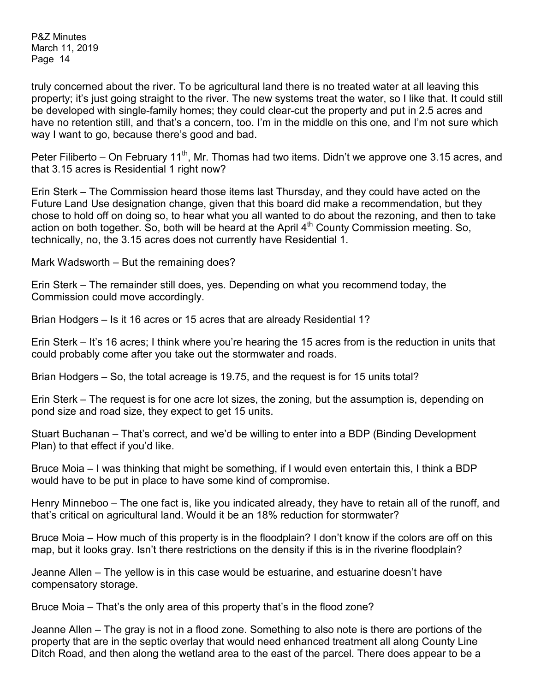truly concerned about the river. To be agricultural land there is no treated water at all leaving this property; it's just going straight to the river. The new systems treat the water, so I like that. It could still be developed with single-family homes; they could clear-cut the property and put in 2.5 acres and have no retention still, and that's a concern, too. I'm in the middle on this one, and I'm not sure which way I want to go, because there's good and bad.

Peter Filiberto – On February 11<sup>th</sup>, Mr. Thomas had two items. Didn't we approve one 3.15 acres, and that 3.15 acres is Residential 1 right now?

Erin Sterk – The Commission heard those items last Thursday, and they could have acted on the Future Land Use designation change, given that this board did make a recommendation, but they chose to hold off on doing so, to hear what you all wanted to do about the rezoning, and then to take action on both together. So, both will be heard at the April  $4<sup>th</sup>$  County Commission meeting. So, technically, no, the 3.15 acres does not currently have Residential 1.

Mark Wadsworth – But the remaining does?

Erin Sterk – The remainder still does, yes. Depending on what you recommend today, the Commission could move accordingly.

Brian Hodgers – Is it 16 acres or 15 acres that are already Residential 1?

Erin Sterk – It's 16 acres; I think where you're hearing the 15 acres from is the reduction in units that could probably come after you take out the stormwater and roads.

Brian Hodgers – So, the total acreage is 19.75, and the request is for 15 units total?

Erin Sterk – The request is for one acre lot sizes, the zoning, but the assumption is, depending on pond size and road size, they expect to get 15 units.

Stuart Buchanan – That's correct, and we'd be willing to enter into a BDP (Binding Development Plan) to that effect if you'd like.

Bruce Moia – I was thinking that might be something, if I would even entertain this, I think a BDP would have to be put in place to have some kind of compromise.

Henry Minneboo – The one fact is, like you indicated already, they have to retain all of the runoff, and that's critical on agricultural land. Would it be an 18% reduction for stormwater?

Bruce Moia – How much of this property is in the floodplain? I don't know if the colors are off on this map, but it looks gray. Isn't there restrictions on the density if this is in the riverine floodplain?

Jeanne Allen – The yellow is in this case would be estuarine, and estuarine doesn't have compensatory storage.

Bruce Moia – That's the only area of this property that's in the flood zone?

Jeanne Allen – The gray is not in a flood zone. Something to also note is there are portions of the property that are in the septic overlay that would need enhanced treatment all along County Line Ditch Road, and then along the wetland area to the east of the parcel. There does appear to be a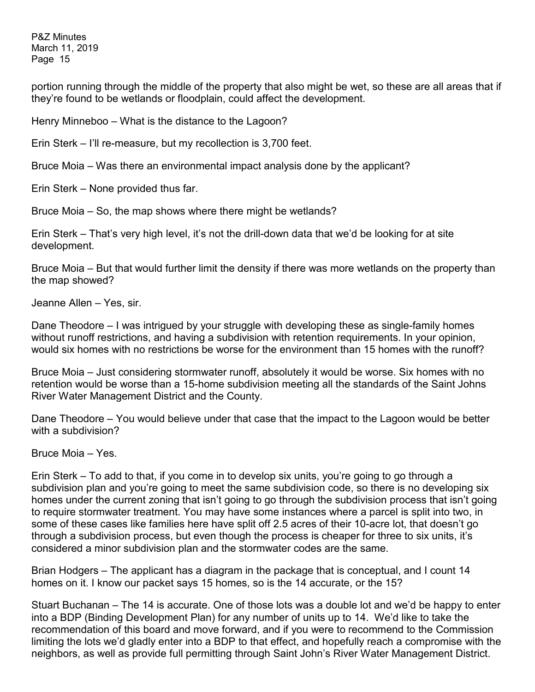portion running through the middle of the property that also might be wet, so these are all areas that if they're found to be wetlands or floodplain, could affect the development.

Henry Minneboo – What is the distance to the Lagoon?

Erin Sterk – I'll re-measure, but my recollection is 3,700 feet.

Bruce Moia – Was there an environmental impact analysis done by the applicant?

Erin Sterk – None provided thus far.

Bruce Moia – So, the map shows where there might be wetlands?

Erin Sterk – That's very high level, it's not the drill-down data that we'd be looking for at site development.

Bruce Moia – But that would further limit the density if there was more wetlands on the property than the map showed?

Jeanne Allen – Yes, sir.

Dane Theodore – I was intrigued by your struggle with developing these as single-family homes without runoff restrictions, and having a subdivision with retention requirements. In your opinion, would six homes with no restrictions be worse for the environment than 15 homes with the runoff?

Bruce Moia – Just considering stormwater runoff, absolutely it would be worse. Six homes with no retention would be worse than a 15-home subdivision meeting all the standards of the Saint Johns River Water Management District and the County.

Dane Theodore – You would believe under that case that the impact to the Lagoon would be better with a subdivision?

Bruce Moia – Yes.

Erin Sterk – To add to that, if you come in to develop six units, you're going to go through a subdivision plan and you're going to meet the same subdivision code, so there is no developing six homes under the current zoning that isn't going to go through the subdivision process that isn't going to require stormwater treatment. You may have some instances where a parcel is split into two, in some of these cases like families here have split off 2.5 acres of their 10-acre lot, that doesn't go through a subdivision process, but even though the process is cheaper for three to six units, it's considered a minor subdivision plan and the stormwater codes are the same.

Brian Hodgers – The applicant has a diagram in the package that is conceptual, and I count 14 homes on it. I know our packet says 15 homes, so is the 14 accurate, or the 15?

Stuart Buchanan – The 14 is accurate. One of those lots was a double lot and we'd be happy to enter into a BDP (Binding Development Plan) for any number of units up to 14. We'd like to take the recommendation of this board and move forward, and if you were to recommend to the Commission limiting the lots we'd gladly enter into a BDP to that effect, and hopefully reach a compromise with the neighbors, as well as provide full permitting through Saint John's River Water Management District.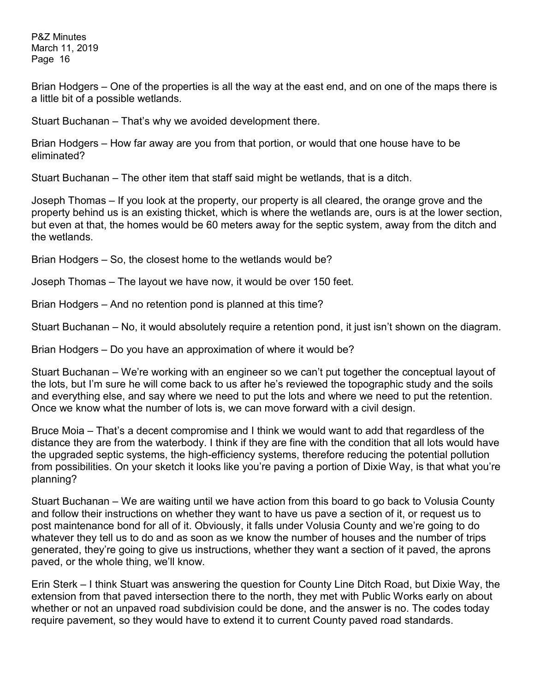Brian Hodgers – One of the properties is all the way at the east end, and on one of the maps there is a little bit of a possible wetlands.

Stuart Buchanan – That's why we avoided development there.

Brian Hodgers – How far away are you from that portion, or would that one house have to be eliminated?

Stuart Buchanan – The other item that staff said might be wetlands, that is a ditch.

Joseph Thomas – If you look at the property, our property is all cleared, the orange grove and the property behind us is an existing thicket, which is where the wetlands are, ours is at the lower section, but even at that, the homes would be 60 meters away for the septic system, away from the ditch and the wetlands.

Brian Hodgers – So, the closest home to the wetlands would be?

Joseph Thomas – The layout we have now, it would be over 150 feet.

Brian Hodgers – And no retention pond is planned at this time?

Stuart Buchanan – No, it would absolutely require a retention pond, it just isn't shown on the diagram.

Brian Hodgers – Do you have an approximation of where it would be?

Stuart Buchanan – We're working with an engineer so we can't put together the conceptual layout of the lots, but I'm sure he will come back to us after he's reviewed the topographic study and the soils and everything else, and say where we need to put the lots and where we need to put the retention. Once we know what the number of lots is, we can move forward with a civil design.

Bruce Moia – That's a decent compromise and I think we would want to add that regardless of the distance they are from the waterbody. I think if they are fine with the condition that all lots would have the upgraded septic systems, the high-efficiency systems, therefore reducing the potential pollution from possibilities. On your sketch it looks like you're paving a portion of Dixie Way, is that what you're planning?

Stuart Buchanan – We are waiting until we have action from this board to go back to Volusia County and follow their instructions on whether they want to have us pave a section of it, or request us to post maintenance bond for all of it. Obviously, it falls under Volusia County and we're going to do whatever they tell us to do and as soon as we know the number of houses and the number of trips generated, they're going to give us instructions, whether they want a section of it paved, the aprons paved, or the whole thing, we'll know.

Erin Sterk – I think Stuart was answering the question for County Line Ditch Road, but Dixie Way, the extension from that paved intersection there to the north, they met with Public Works early on about whether or not an unpaved road subdivision could be done, and the answer is no. The codes today require pavement, so they would have to extend it to current County paved road standards.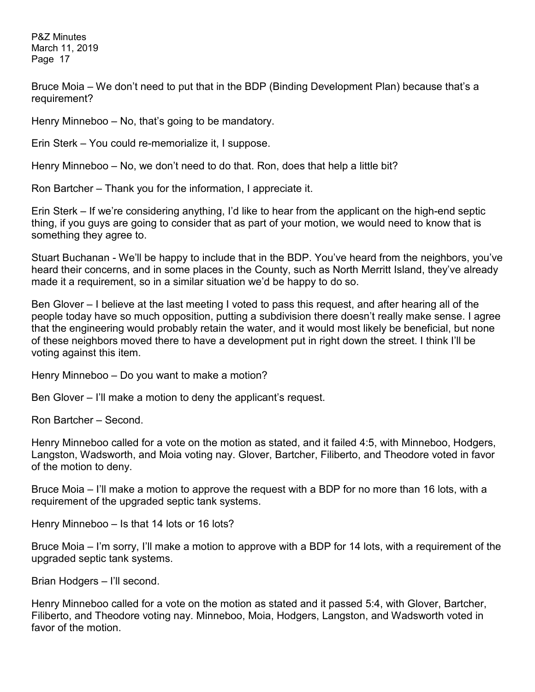Bruce Moia – We don't need to put that in the BDP (Binding Development Plan) because that's a requirement?

Henry Minneboo – No, that's going to be mandatory.

Erin Sterk – You could re-memorialize it, I suppose.

Henry Minneboo – No, we don't need to do that. Ron, does that help a little bit?

Ron Bartcher – Thank you for the information, I appreciate it.

Erin Sterk – If we're considering anything, I'd like to hear from the applicant on the high-end septic thing, if you guys are going to consider that as part of your motion, we would need to know that is something they agree to.

Stuart Buchanan - We'll be happy to include that in the BDP. You've heard from the neighbors, you've heard their concerns, and in some places in the County, such as North Merritt Island, they've already made it a requirement, so in a similar situation we'd be happy to do so.

Ben Glover – I believe at the last meeting I voted to pass this request, and after hearing all of the people today have so much opposition, putting a subdivision there doesn't really make sense. I agree that the engineering would probably retain the water, and it would most likely be beneficial, but none of these neighbors moved there to have a development put in right down the street. I think I'll be voting against this item.

Henry Minneboo – Do you want to make a motion?

Ben Glover – I'll make a motion to deny the applicant's request.

Ron Bartcher – Second.

Henry Minneboo called for a vote on the motion as stated, and it failed 4:5, with Minneboo, Hodgers, Langston, Wadsworth, and Moia voting nay. Glover, Bartcher, Filiberto, and Theodore voted in favor of the motion to deny.

Bruce Moia – I'll make a motion to approve the request with a BDP for no more than 16 lots, with a requirement of the upgraded septic tank systems.

Henry Minneboo – Is that 14 lots or 16 lots?

Bruce Moia – I'm sorry, I'll make a motion to approve with a BDP for 14 lots, with a requirement of the upgraded septic tank systems.

Brian Hodgers – I'll second.

Henry Minneboo called for a vote on the motion as stated and it passed 5:4, with Glover, Bartcher, Filiberto, and Theodore voting nay. Minneboo, Moia, Hodgers, Langston, and Wadsworth voted in favor of the motion.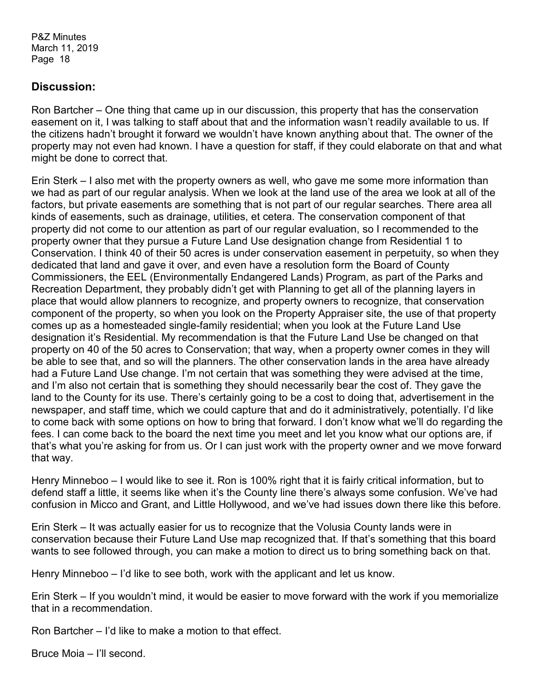## **Discussion:**

Ron Bartcher – One thing that came up in our discussion, this property that has the conservation easement on it, I was talking to staff about that and the information wasn't readily available to us. If the citizens hadn't brought it forward we wouldn't have known anything about that. The owner of the property may not even had known. I have a question for staff, if they could elaborate on that and what might be done to correct that.

Erin Sterk – I also met with the property owners as well, who gave me some more information than we had as part of our regular analysis. When we look at the land use of the area we look at all of the factors, but private easements are something that is not part of our regular searches. There area all kinds of easements, such as drainage, utilities, et cetera. The conservation component of that property did not come to our attention as part of our regular evaluation, so I recommended to the property owner that they pursue a Future Land Use designation change from Residential 1 to Conservation. I think 40 of their 50 acres is under conservation easement in perpetuity, so when they dedicated that land and gave it over, and even have a resolution form the Board of County Commissioners, the EEL (Environmentally Endangered Lands) Program, as part of the Parks and Recreation Department, they probably didn't get with Planning to get all of the planning layers in place that would allow planners to recognize, and property owners to recognize, that conservation component of the property, so when you look on the Property Appraiser site, the use of that property comes up as a homesteaded single-family residential; when you look at the Future Land Use designation it's Residential. My recommendation is that the Future Land Use be changed on that property on 40 of the 50 acres to Conservation; that way, when a property owner comes in they will be able to see that, and so will the planners. The other conservation lands in the area have already had a Future Land Use change. I'm not certain that was something they were advised at the time, and I'm also not certain that is something they should necessarily bear the cost of. They gave the land to the County for its use. There's certainly going to be a cost to doing that, advertisement in the newspaper, and staff time, which we could capture that and do it administratively, potentially. I'd like to come back with some options on how to bring that forward. I don't know what we'll do regarding the fees. I can come back to the board the next time you meet and let you know what our options are, if that's what you're asking for from us. Or I can just work with the property owner and we move forward that way.

Henry Minneboo – I would like to see it. Ron is 100% right that it is fairly critical information, but to defend staff a little, it seems like when it's the County line there's always some confusion. We've had confusion in Micco and Grant, and Little Hollywood, and we've had issues down there like this before.

Erin Sterk – It was actually easier for us to recognize that the Volusia County lands were in conservation because their Future Land Use map recognized that. If that's something that this board wants to see followed through, you can make a motion to direct us to bring something back on that.

Henry Minneboo – I'd like to see both, work with the applicant and let us know.

Erin Sterk – If you wouldn't mind, it would be easier to move forward with the work if you memorialize that in a recommendation.

Ron Bartcher – I'd like to make a motion to that effect.

Bruce Moia – I'll second.